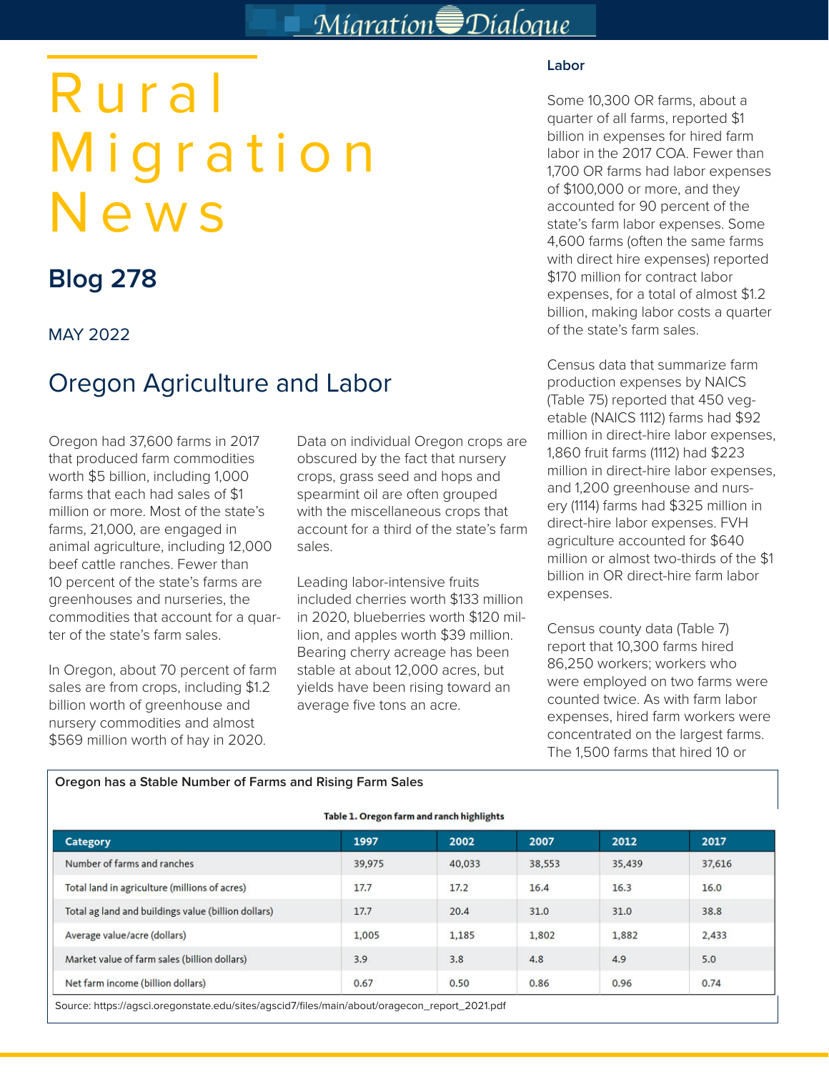## Migration Dialogue

# Rural Migration News

## **Blog 278**

### MAY 2022

## Oregon Agriculture and Labor

Oregon had 37,600 farms in 2017 that produced farm commodities worth \$5 billion, including 1,000 farms that each had sales of \$1 million or more. Most of the state's farms, 21,000, are engaged in animal agriculture, including 12,000 beef cattle ranches. Fewer than 10 percent of the state's farms are greenhouses and nurseries, the commodities that account for a quarter of the state's farm sales.

In Oregon, about 70 percent of farm sales are from crops, including \$1.2 billion worth of greenhouse and nursery commodities and almost \$569 million worth of hay in 2020.

Data on individual Oregon crops are obscured by the fact that nursery crops, grass seed and hops and spearmint oil are often grouped with the miscellaneous crops that account for a third of the state's farm sales.

Leading labor-intensive fruits included cherries worth \$133 million in 2020, blueberries worth \$120 million, and apples worth \$39 million. Bearing cherry acreage has been stable at about 12,000 acres, but yields have been rising toward an average five tons an acre.

#### **Labor**

Some 10,300 OR farms, about a quarter of all farms, reported \$1 billion in expenses for hired farm labor in the 2017 COA. Fewer than 1,700 OR farms had labor expenses of \$100,000 or more, and they accounted for 90 percent of the state's farm labor expenses. Some 4,600 farms (often the same farms with direct hire expenses) reported \$170 million for contract labor expenses, for a total of almost \$1.2 billion, making labor costs a quarter of the state's farm sales.

Census data that summarize farm production expenses by NAICS (Table 75) reported that 450 vegetable (NAICS 1112) farms had \$92 million in direct-hire labor expenses, 1,860 fruit farms (1112) had \$223 million in direct-hire labor expenses, and 1,200 greenhouse and nursery (1114) farms had \$325 million in direct-hire labor expenses. FVH agriculture accounted for \$640 million or almost two-thirds of the \$1 billion in OR direct-hire farm labor expenses.

Census county data (Table 7) report that 10,300 farms hired 86,250 workers; workers who were employed on two farms were counted twice. As with farm labor expenses, hired farm workers were concentrated on the largest farms. The 1,500 farms that hired 10 or

#### **Oregon has a Stable Number of Farms and Rising Farm Sales**

#### Table 1. Oregon farm and ranch highlights

| <b>Category</b>                                     | 1997   | 2002   | 2007   | 2012   | 2017   |
|-----------------------------------------------------|--------|--------|--------|--------|--------|
| Number of farms and ranches                         | 39,975 | 40,033 | 38,553 | 35,439 | 37,616 |
| Total land in agriculture (millions of acres)       | 17.7   | 17.2   | 16.4   | 16.3   | 16.0   |
| Total ag land and buildings value (billion dollars) | 17.7   | 20.4   | 31.0   | 31.0   | 38.8   |
| Average value/acre (dollars)                        | 1,005  | 1,185  | 1,802  | 1,882  | 2,433  |
| Market value of farm sales (billion dollars)        | 3.9    | 3.8    | 4.8    | 4.9    | 5.0    |
| Net farm income (billion dollars)                   | 0.67   | 0.50   | 0.86   | 0.96   | 0.74   |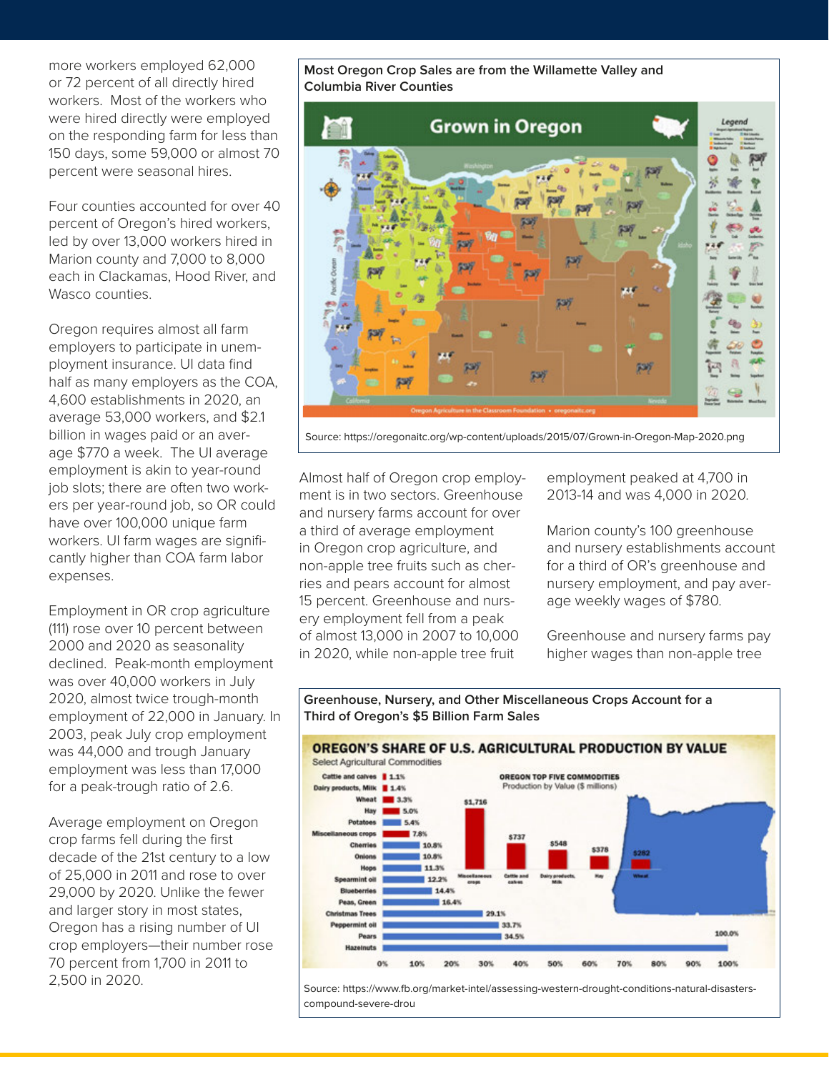more workers employed 62,000 or 72 percent of all directly hired workers. Most of the workers who were hired directly were employed on the responding farm for less than 150 days, some 59,000 or almost 70 percent were seasonal hires.

Four counties accounted for over 40 percent of Oregon's hired workers, led by over 13,000 workers hired in Marion county and 7,000 to 8,000 each in Clackamas, Hood River, and Wasco counties.

Oregon requires almost all farm employers to participate in unemployment insurance. UI data find half as many employers as the COA, 4,600 establishments in 2020, an average 53,000 workers, and \$2.1 billion in wages paid or an average \$770 a week. The UI average employment is akin to year-round job slots; there are often two workers per year-round job, so OR could have over 100,000 unique farm workers. UI farm wages are significantly higher than COA farm labor expenses.

Employment in OR crop agriculture (111) rose over 10 percent between 2000 and 2020 as seasonality declined. Peak-month employment was over 40,000 workers in July 2020, almost twice trough-month employment of 22,000 in January. In 2003, peak July crop employment was 44,000 and trough January employment was less than 17,000 for a peak-trough ratio of 2.6.

Average employment on Oregon crop farms fell during the first decade of the 21st century to a low of 25,000 in 2011 and rose to over 29,000 by 2020. Unlike the fewer and larger story in most states, Oregon has a rising number of UI crop employers—their number rose 70 percent from 1,700 in 2011 to 2,500 in 2020.

**Most Oregon Crop Sales are from the Willamette Valley and Columbia River Counties**



Source: https://oregonaitc.org/wp-content/uploads/2015/07/Grown-in-Oregon-Map-2020.png

Almost half of Oregon crop employment is in two sectors. Greenhouse and nursery farms account for over a third of average employment in Oregon crop agriculture, and non-apple tree fruits such as cherries and pears account for almost 15 percent. Greenhouse and nursery employment fell from a peak of almost 13,000 in 2007 to 10,000 in 2020, while non-apple tree fruit

employment peaked at 4,700 in 2013-14 and was 4,000 in 2020.

Marion county's 100 greenhouse and nursery establishments account for a third of OR's greenhouse and nursery employment, and pay average weekly wages of \$780.

Greenhouse and nursery farms pay higher wages than non-apple tree



**Greenhouse, Nursery, and Other Miscellaneous Crops Account for a Third of Oregon's \$5 Billion Farm Sales**

Source: https://www.fb.org/market-intel/assessing-western-drought-conditions-natural-disasterscompound-severe-drou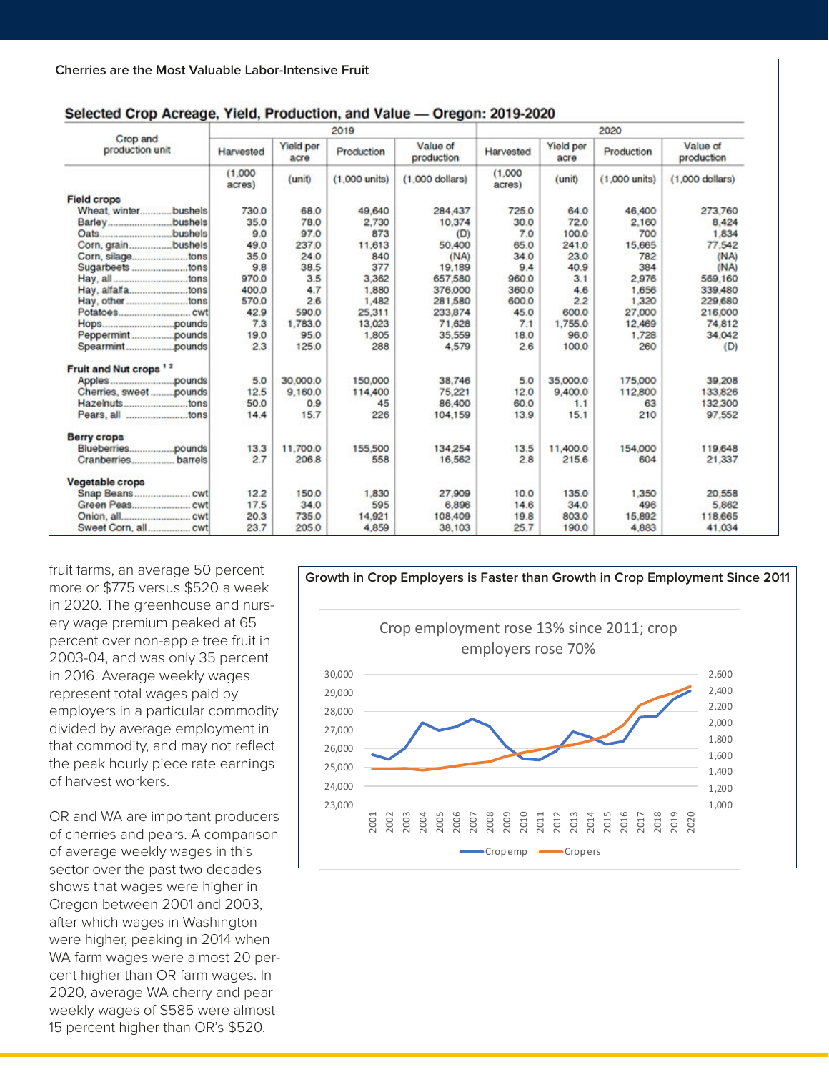| Crop and<br>production unit       | 2019              |                   |                 |                        | 2020              |                   |                 |                        |  |
|-----------------------------------|-------------------|-------------------|-----------------|------------------------|-------------------|-------------------|-----------------|------------------------|--|
|                                   | Harvested         | Yield per<br>acre | Production      | Value of<br>production | Harvested         | Yield per<br>acre | Production      | Value of<br>production |  |
|                                   | (1,000)<br>acres) | (unit)            | $(1,000$ units) | $(1,000$ dollars)      | (1,000)<br>acres) | (unit)            | $(1,000$ units) | $(1,000$ dollars)      |  |
| <b>Field crops</b>                |                   |                   |                 |                        |                   |                   |                 |                        |  |
| Wheat, winter bushels             | 730.0             | 68.0              | 49,640          | 284,437                | 725.0             | 64.0              | 46,400          | 273,760                |  |
|                                   | 35.0              | 78.0              | 2.730           | 10,374                 | 30.0              | 72.0              | 2.160           | 8,424                  |  |
|                                   | 9.0               | 97.0              | 873             | (D)                    | 7.0               | 100.0             | 700             | 1,834                  |  |
| Corn, grainbushels                | 49.0              | 237.0             | 11,613          | 50,400                 | 65.0              | 241.0             | 15,665          | 77.542                 |  |
| Corn, silagetons                  | 35.0              | 24.0              | 840             | (MA)                   | 34.0              | 23.0              | 782             | (NA)                   |  |
| Sugarbeets tons                   | 9.8               | 38.5              | 377             | 19,189                 | 9.4               | 40.9              | 384             | (NA)                   |  |
| Hay, alltons                      | 970.0             | 3.5               | 3,362           | 657,580                | 960.0             | 3.1               | 2,976           | 569,160                |  |
| Hay, alfalfatons                  | 400.0             | 4.7               | 1,880           | 376,000                | 360.0             | 4.6               | 1.656           | 339,480                |  |
| Hay, othertons                    | 570.0             | 2.6               | 1.482           | 281,580                | 600.0             | 2.2               | 1.320           | 229,680                |  |
|                                   | 42.9              | 590.0             | 25.311          | 233,874                | 45.0              | 600.0             | 27,000          | 216,000                |  |
|                                   | 7.3               | 1,783.0           | 13,023          | 71,628                 | 7.1               | 1,755.0           | 12,469          | 74,812                 |  |
|                                   | 19.0              | 95.0              | 1,805           | 35,559                 | 18.0              | 96.0              | 1,728           | 34,042                 |  |
|                                   | 2.3               | 125.0             | 288             | 4,579                  | 2.6               | 100,0             | 260             | (D)                    |  |
| Fruit and Nut crops <sup>12</sup> |                   |                   |                 |                        |                   |                   |                 |                        |  |
|                                   | 5.0               | 30,000.0          | 150,000         | 38,746                 | 5.0               | 35,000.0          | 175,000         | 39,208                 |  |
| Cherries, sweetpounds             | 12.5              | 9,160.0           | 114,400         | 75,221                 | 12.0              | 9,400.0           | 112,800         | 133,826                |  |
|                                   | 50.0              | 0.9               | 45              | 86,400                 | 60.0              | 1.1               | 63              | 132,300                |  |
|                                   | 14.4              | 15.7              | 226             | 104,159                | 13.9              | 15.1              | 210             | 97,552                 |  |
| <b>Berry crops</b>                |                   |                   |                 |                        |                   |                   |                 |                        |  |
|                                   | 13.3              | 11,700.0          | 155,500         | 134,254                | 13.5              | 11,400.0          | 154,000         | 119,648                |  |
| Cranberries barrels               | 2.7               | 206.8             | 558             | 16,562                 | 2.8               | 215.6             | 604             | 21,337                 |  |
| <b>Vegetable crops</b>            |                   |                   |                 |                        |                   |                   |                 |                        |  |
|                                   | 12.2              | 150.0             | 1,830           | 27,909                 | 10.0              | 135.0             | 1,350           | 20,558                 |  |
|                                   | 17.5              | 34.0              | 595             | 6,896                  | 14.6              | 34.0              | 496             | 5,862                  |  |
|                                   | 20.3              | 735.0             | 14,921          | 108,409                | 19.8              | 803.0             | 15,892          | 118,665                |  |
|                                   | 23.7              | 205.0             | 4,859           | 38,103                 | 25.7              | 190.0             | 4,883           | 41,034                 |  |

#### Selected Crop Acreage, Yield, Production, and Value - Oregon: 2019-2020

fruit farms, an average 50 percent more or \$775 versus \$520 a week in 2020. The greenhouse and nursery wage premium peaked at 65 percent over non-apple tree fruit in 2003-04, and was only 35 percent in 2016. Average weekly wages represent total wages paid by employers in a particular commodity divided by average employment in that commodity, and may not reflect the peak hourly piece rate earnings of harvest workers.

OR and WA are important producers of cherries and pears. A comparison of average weekly wages in this sector over the past two decades shows that wages were higher in Oregon between 2001 and 2003, after which wages in Washington were higher, peaking in 2014 when WA farm wages were almost 20 percent higher than OR farm wages. In 2020, average WA cherry and pear weekly wages of \$585 were almost 15 percent higher than OR's \$520.

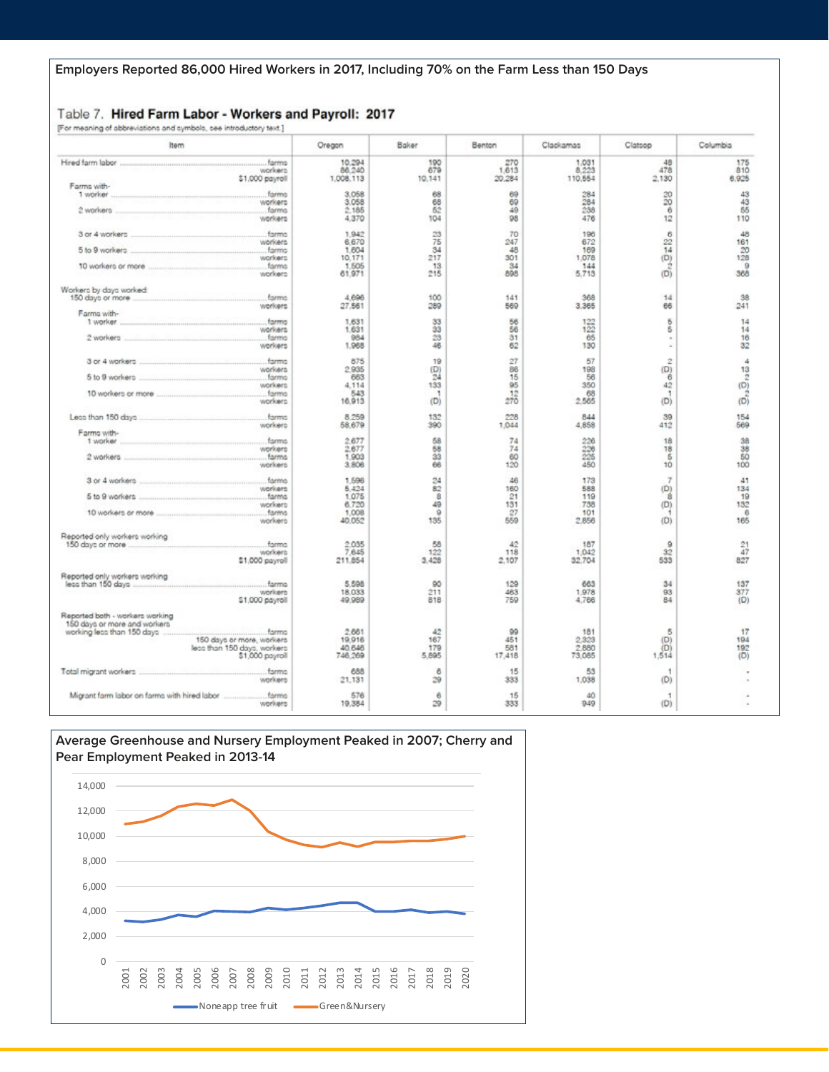#### Table 7. Hired Farm Labor - Workers and Payroll: 2017 [For meaning of abbreviations and symbols, see introductory text.]

| Item                                | Oregon              | Baker         | Benton           | Clackamas         | Clatoop              | Columbia                                                                          |
|-------------------------------------|---------------------|---------------|------------------|-------------------|----------------------|-----------------------------------------------------------------------------------|
|                                     | 10,294              | 190           | 270              | 1.031             | 48                   | 175                                                                               |
| workers<br>\$1,000 payroll          | 86,240<br>1,008,113 | 679<br>10,141 | 1,613<br>20,284  | 8.223<br>110,554  | 478<br>2,130         | 810<br>6,925                                                                      |
| Farms with-                         |                     |               |                  |                   |                      |                                                                                   |
| 1 worker<br>farmo                   | 3.058               | 68            | 69               | 284               | 20                   | 43                                                                                |
| workers                             | 3,058               | 68            | 69               | 284               | 20                   | 43                                                                                |
| farms<br>2 workers:                 | 2.185               | 52            | 49               | 238               | 6                    | 55                                                                                |
| workers                             | 4.370               | 104           | 98               | 476               | 12                   | 110                                                                               |
| . farma<br>3 or 4 workers           | 1,942               | 23            | 70               | 196               | 6                    | 48                                                                                |
| workers                             | 6,670               | 75            | 247              | 672               |                      | 161                                                                               |
| 5 to 9 workers<br>farms             | 1,604               | 34            | 48               | 169               | $rac{22}{14}$<br>(D) | 20                                                                                |
| workers                             | 10.171              | 217           | 301              | 1.078             |                      | 128                                                                               |
| farms                               | 1,505               | 13            | 34               | 144               | $\dot{z}$            | $\theta$                                                                          |
| workers                             | 61.971              | 215           | 898              | 5.713             | (D)                  | 368                                                                               |
| Workers by days worked:             |                     |               |                  |                   |                      |                                                                                   |
| farms<br>150 days or more           | 4,696               | 100           | 141              | 368               | 14                   | 38                                                                                |
| workers                             | 27,561              | 289           | 569              | 3,365             | 66                   | 241                                                                               |
| Farma with-                         |                     |               |                  |                   |                      |                                                                                   |
|                                     | 1,631               | 33            | 56               | $\frac{122}{122}$ | 5                    | 14                                                                                |
| workers                             | 1.631               | 33            | 56               |                   | 5                    | 14                                                                                |
| farmo                               | 984                 | 23            | 31               | 65                |                      | 16                                                                                |
| workers                             | 1,968               | 46            | 62               | 130               |                      | 32                                                                                |
|                                     | 875                 | 19            | 27               | 57                | Ż                    | 4                                                                                 |
| workers                             | 2.935               | $^{(D)}_{24}$ | 86               | 198               | (D)                  | 13                                                                                |
| <b>farms</b><br>5 to 9 workers      | 663                 |               | 15               | 56                | 6                    |                                                                                   |
| workers                             | 4.114               | 133           | 95               | 350               | 42                   |                                                                                   |
| 10 workers or more<br>farms         | 543                 | Ħ             | $\frac{12}{270}$ | 68                | 1                    | $\overset{\frown}{\mathcal{Q}}_{13} \overset{\frown}{\mathcal{Q}}_{13} \tilde{u}$ |
| workers                             | 16.913              | (D)           |                  | 2,565             | (D)                  |                                                                                   |
| forms                               | 8.259               | 132           | 228              | 844               | 39                   | 154                                                                               |
| workers                             | 58,679              | 390           | 1,044            | 4,858             | 412                  | 569                                                                               |
| Farms with-                         |                     |               |                  |                   |                      |                                                                                   |
| 1 worker                            | 2.677               | 58            | 74               | 228               | 18                   | 38                                                                                |
| workers                             | 2,677               | 68<br>33      | 74               | 226<br>225        | 18<br>5              | 38<br>5Ö                                                                          |
| farms<br>workers                    | 1,903<br>3,806      | 66            | 60<br>120        | 450               | 10                   | 100                                                                               |
|                                     |                     |               |                  |                   |                      |                                                                                   |
| 3 or 4 workers                      | 1.596               | 24            | 46               | 173               | $\overline{z}$       | 41                                                                                |
| workers                             | 5.424               | 82            | 160              | 588               | (D)                  | 134                                                                               |
|                                     | 1.075               | 8             | 21               | 119               | 8                    | 19                                                                                |
| workers                             | 6.720               | 49            | 131              | 738               | (D)                  | 132                                                                               |
| farms<br>10 workers or more         | 1,008               | $\theta$      | 27               | 101               |                      | 6                                                                                 |
| workers                             | 40.052              | 135           | 559              | 2,856             | (D)                  | 165                                                                               |
| Reported only workers working       |                     |               |                  |                   |                      |                                                                                   |
| forms<br>150 days or more           | 2.035               | 58            | 42               | 187               | $\circ$              | 21                                                                                |
| workers                             | 7,645               | 122           | 118              | 1,042             | 32                   | 47                                                                                |
| \$1,000 payroll                     | 211.854             | 3,428         | 2.107            | 32.704            | 533                  | 827                                                                               |
| Reported only workers working       |                     |               |                  |                   |                      |                                                                                   |
| less than 150 days<br>farma         | 5,598               | 90            | 129              | 663               | 34                   | 137                                                                               |
| workers                             | 18,033              | 211           | 463              | 1.978             | 93                   | 377                                                                               |
| \$1,000 payroll                     | 49,989              | 818           | 759              | 4,766             | 84                   | (D)                                                                               |
| Reported both - workers working     |                     |               |                  |                   |                      |                                                                                   |
| 150 days or more and workers        |                     |               |                  |                   |                      |                                                                                   |
| working less than 150 days<br>formo | 2.661               | 42            | 99               | 181               | В                    | 17                                                                                |
| 150 days or more, workers           | 19.916              | 167           | 451              | 2.323             | (D)                  | 194                                                                               |
| less than 150 days, workers         | 40.646              | 179           | 581              | 2.880             | (D)                  | 192                                                                               |
| \$1,000 payroll                     | 746,269             | 5,895         | 17,418           | 73,085            | 1,514                | (D)                                                                               |
| farms                               | 688                 | 6             | 15               | 53                | ٠                    |                                                                                   |
| workers                             | 21,131              | 29            | 333              | 1,038             | (D)                  |                                                                                   |
|                                     |                     |               |                  |                   |                      |                                                                                   |
|                                     | 576                 | i8            | 15               | 40                | 1                    |                                                                                   |
| workerg                             | 19,384              | 29            | 333              | 949               | (D)                  |                                                                                   |

#### **Average Greenhouse and Nursery Employment Peaked in 2007; Cherry and Pear Employment Peaked in 2013-14**